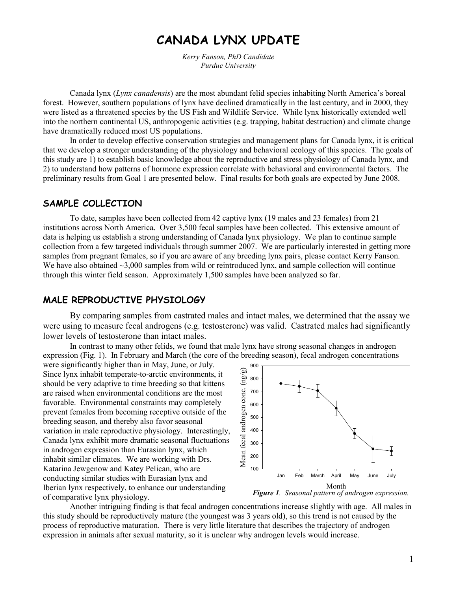# CANADA LYNX UPDATE

Kerry Fanson, PhD Candidate Purdue University

Canada lynx (Lynx canadensis) are the most abundant felid species inhabiting North America's boreal forest. However, southern populations of lynx have declined dramatically in the last century, and in 2000, they were listed as a threatened species by the US Fish and Wildlife Service. While lynx historically extended well into the northern continental US, anthropogenic activities (e.g. trapping, habitat destruction) and climate change have dramatically reduced most US populations.

In order to develop effective conservation strategies and management plans for Canada lynx, it is critical that we develop a stronger understanding of the physiology and behavioral ecology of this species. The goals of this study are 1) to establish basic knowledge about the reproductive and stress physiology of Canada lynx, and 2) to understand how patterns of hormone expression correlate with behavioral and environmental factors. The preliminary results from Goal 1 are presented below. Final results for both goals are expected by June 2008.

#### SAMPLE COLLECTION

 To date, samples have been collected from 42 captive lynx (19 males and 23 females) from 21 institutions across North America. Over 3,500 fecal samples have been collected. This extensive amount of data is helping us establish a strong understanding of Canada lynx physiology. We plan to continue sample collection from a few targeted individuals through summer 2007. We are particularly interested in getting more samples from pregnant females, so if you are aware of any breeding lynx pairs, please contact Kerry Fanson. We have also obtained  $\sim$ 3,000 samples from wild or reintroduced lynx, and sample collection will continue through this winter field season. Approximately 1,500 samples have been analyzed so far.

### MALE REPRODUCTIVE PHYSIOLOGY

By comparing samples from castrated males and intact males, we determined that the assay we were using to measure fecal androgens (e.g. testosterone) was valid. Castrated males had significantly lower levels of testosterone than intact males.

 In contrast to many other felids, we found that male lynx have strong seasonal changes in androgen expression (Fig. 1). In February and March (the core of the breeding season), fecal androgen concentrations

were significantly higher than in May, June, or July. Since lynx inhabit temperate-to-arctic environments, it should be very adaptive to time breeding so that kittens are raised when environmental conditions are the most favorable. Environmental constraints may completely prevent females from becoming receptive outside of the breeding season, and thereby also favor seasonal variation in male reproductive physiology. Interestingly, Canada lynx exhibit more dramatic seasonal fluctuations in androgen expression than Eurasian lynx, which inhabit similar climates. We are working with Drs. Katarina Jewgenow and Katey Pelican, who are conducting similar studies with Eurasian lynx and Iberian lynx respectively, to enhance our understanding of comparative lynx physiology.



Another intriguing finding is that fecal androgen concentrations increase slightly with age. All males in this study should be reproductively mature (the youngest was 3 years old), so this trend is not caused by the process of reproductive maturation. There is very little literature that describes the trajectory of androgen expression in animals after sexual maturity, so it is unclear why androgen levels would increase.